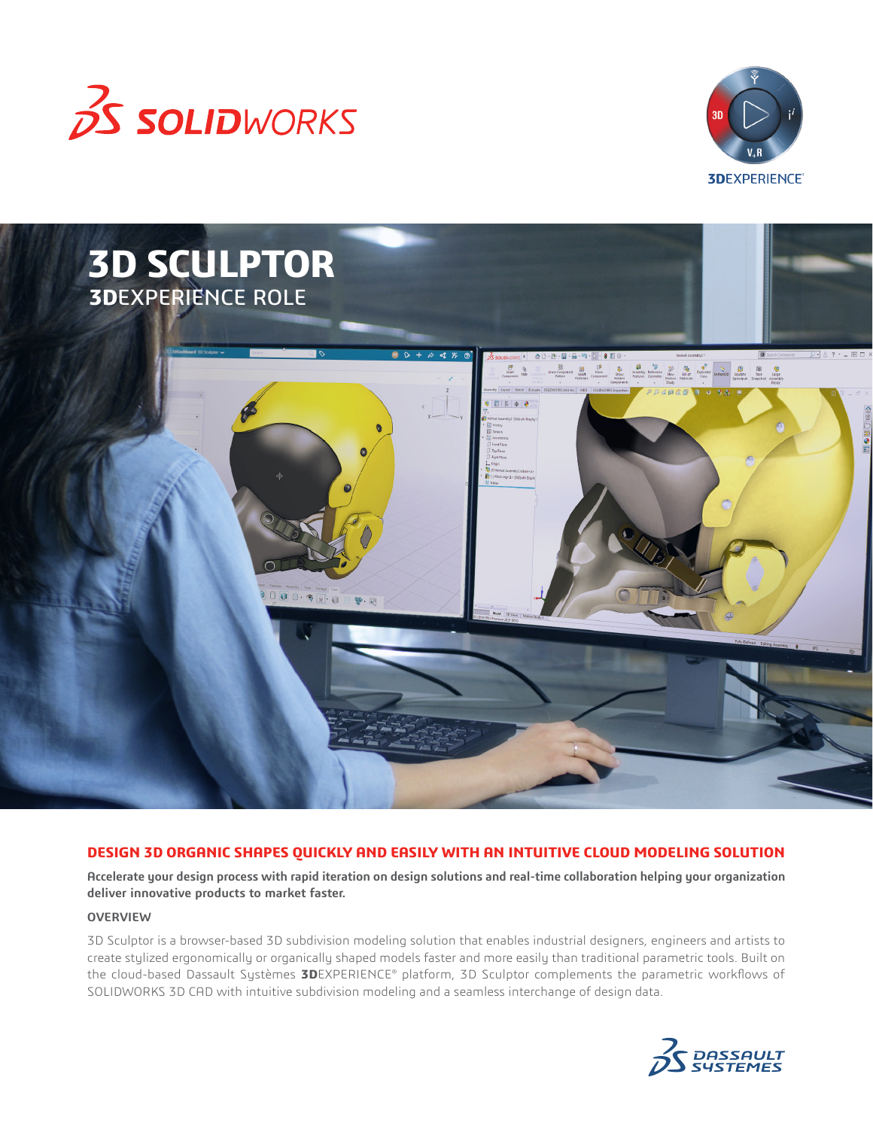





### **DESIGN 3D ORGANIC SHAPES QUICKLY AND EASILY WITH AN INTUITIVE CLOUD MODELING SOLUTION**

**Accelerate your design process with rapid iteration on design solutions and real-time collaboration helping your organization deliver innovative products to market faster.**

## **OVERVIEW**

3D Sculptor is a browser-based 3D subdivision modeling solution that enables industrial designers, engineers and artists to create stylized ergonomically or organically shaped models faster and more easily than traditional parametric tools. Built on the cloud-based Dassault Systèmes **3D**EXPERIENCE® platform, 3D Sculptor complements the parametric workflows of SOLIDWORKS 3D CAD with intuitive subdivision modeling and a seamless interchange of design data.